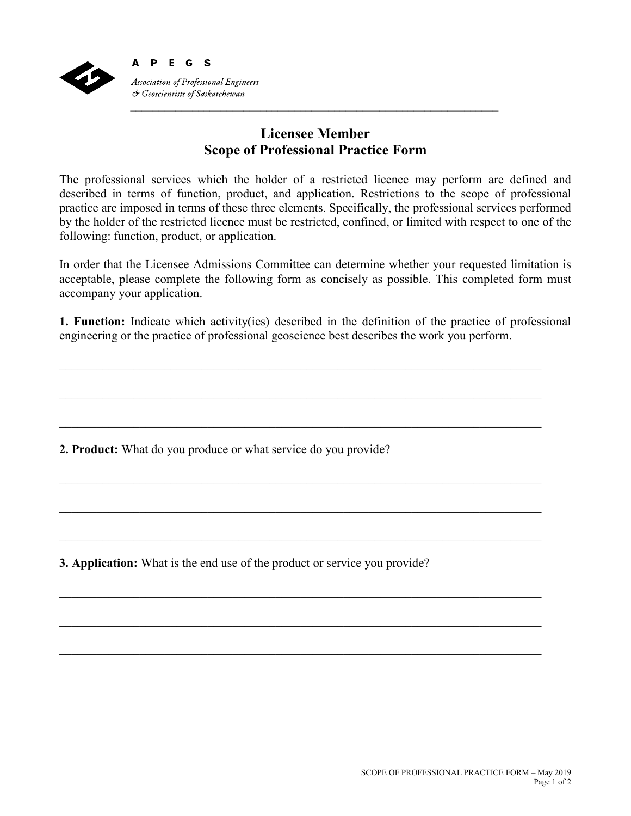

## **Licensee Member Scope of Professional Practice Form**

 $\mathcal{L}_\text{max} = \frac{1}{2} \sum_{i=1}^{n} \frac{1}{2} \sum_{i=1}^{n} \frac{1}{2} \sum_{i=1}^{n} \frac{1}{2} \sum_{i=1}^{n} \frac{1}{2} \sum_{i=1}^{n} \frac{1}{2} \sum_{i=1}^{n} \frac{1}{2} \sum_{i=1}^{n} \frac{1}{2} \sum_{i=1}^{n} \frac{1}{2} \sum_{i=1}^{n} \frac{1}{2} \sum_{i=1}^{n} \frac{1}{2} \sum_{i=1}^{n} \frac{1}{2} \sum_{i=1}^{n} \frac{1$ 

The professional services which the holder of a restricted licence may perform are defined and described in terms of function, product, and application. Restrictions to the scope of professional practice are imposed in terms of these three elements. Specifically, the professional services performed by the holder of the restricted licence must be restricted, confined, or limited with respect to one of the following: function, product, or application.

In order that the Licensee Admissions Committee can determine whether your requested limitation is acceptable, please complete the following form as concisely as possible. This completed form must accompany your application.

**1. Function:** Indicate which activity(ies) described in the definition of the practice of professional engineering or the practice of professional geoscience best describes the work you perform.

\_\_\_\_\_\_\_\_\_\_\_\_\_\_\_\_\_\_\_\_\_\_\_\_\_\_\_\_\_\_\_\_\_\_\_\_\_\_\_\_\_\_\_\_\_\_\_\_\_\_\_\_\_\_\_\_\_\_\_\_\_\_\_\_\_\_\_\_\_\_\_\_\_\_\_\_\_\_

 $\_$  , and the contribution of the contribution of the contribution of the contribution of  $\mathcal{L}_\text{max}$ 

\_\_\_\_\_\_\_\_\_\_\_\_\_\_\_\_\_\_\_\_\_\_\_\_\_\_\_\_\_\_\_\_\_\_\_\_\_\_\_\_\_\_\_\_\_\_\_\_\_\_\_\_\_\_\_\_\_\_\_\_\_\_\_\_\_\_\_\_\_\_\_\_\_\_\_\_\_\_

\_\_\_\_\_\_\_\_\_\_\_\_\_\_\_\_\_\_\_\_\_\_\_\_\_\_\_\_\_\_\_\_\_\_\_\_\_\_\_\_\_\_\_\_\_\_\_\_\_\_\_\_\_\_\_\_\_\_\_\_\_\_\_\_\_\_\_\_\_\_\_\_\_\_\_\_\_\_

 $\_$  , and the contribution of the contribution of the contribution of the contribution of  $\mathcal{L}_\text{max}$ 

\_\_\_\_\_\_\_\_\_\_\_\_\_\_\_\_\_\_\_\_\_\_\_\_\_\_\_\_\_\_\_\_\_\_\_\_\_\_\_\_\_\_\_\_\_\_\_\_\_\_\_\_\_\_\_\_\_\_\_\_\_\_\_\_\_\_\_\_\_\_\_\_\_\_\_\_\_\_

\_\_\_\_\_\_\_\_\_\_\_\_\_\_\_\_\_\_\_\_\_\_\_\_\_\_\_\_\_\_\_\_\_\_\_\_\_\_\_\_\_\_\_\_\_\_\_\_\_\_\_\_\_\_\_\_\_\_\_\_\_\_\_\_\_\_\_\_\_\_\_\_\_\_\_\_\_\_

**2. Product:** What do you produce or what service do you provide?

**3. Application:** What is the end use of the product or service you provide?